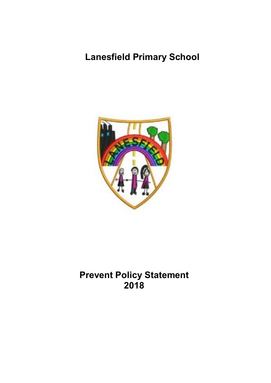# **Lanesfield Primary School**



# **Prevent Policy Statement 2018**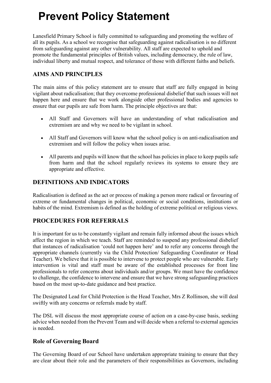# **Prevent Policy Statement**

Lanesfield Primary School is fully committed to safeguarding and promoting the welfare of all its pupils. As a school we recognise that safeguarding against radicalisation is no different from safeguarding against any other vulnerability. All staff are expected to uphold and promote the fundamental principles of British values, including democracy, the rule of law, individual liberty and mutual respect, and tolerance of those with different faiths and beliefs.

### **AIMS AND PRINCIPLES**

The main aims of this policy statement are to ensure that staff are fully engaged in being vigilant about radicalisation; that they overcome professional disbelief that such issues will not happen here and ensure that we work alongside other professional bodies and agencies to ensure that our pupils are safe from harm. The principle objectives are that:

- All Staff and Governors will have an understanding of what radicalisation and extremism are and why we need to be vigilant in school.
- All Staff and Governors will know what the school policy is on anti-radicalisation and extremism and will follow the policy when issues arise.
- All parents and pupils will know that the school has policies in place to keep pupils safe from harm and that the school regularly reviews its systems to ensure they are appropriate and effective.

### **DEFINITIONS AND INDICATORS**

Radicalisation is defined as the act or process of making a person more radical or favouring of extreme or fundamental changes in political, economic or social conditions, institutions or habits of the mind. Extremism is defined as the holding of extreme political or religious views.

## **PROCEDURES FOR REFERRALS**

It is important for us to be constantly vigilant and remain fully informed about the issues which affect the region in which we teach. Staff are reminded to suspend any professional disbelief that instances of radicalisation 'could not happen here' and to refer any concerns through the appropriate channels (currently via the Child Protection/ Safeguarding Coordinator or Head Teacher). We believe that it is possible to intervene to protect people who are vulnerable. Early intervention is vital and staff must be aware of the established processes for front line professionals to refer concerns about individuals and/or groups. We must have the confidence to challenge, the confidence to intervene and ensure that we have strong safeguarding practices based on the most up-to-date guidance and best practice.

The Designated Lead for Child Protection is the Head Teacher, Mrs Z Rollinson, she will deal swiftly with any concerns or referrals made by staff.

The DSL will discuss the most appropriate course of action on a case-by-case basis, seeking advice when needed from the Prevent Team and will decide when a referral to external agencies is needed.

#### **Role of Governing Board**

The Governing Board of our School have undertaken appropriate training to ensure that they are clear about their role and the parameters of their responsibilities as Governors, including